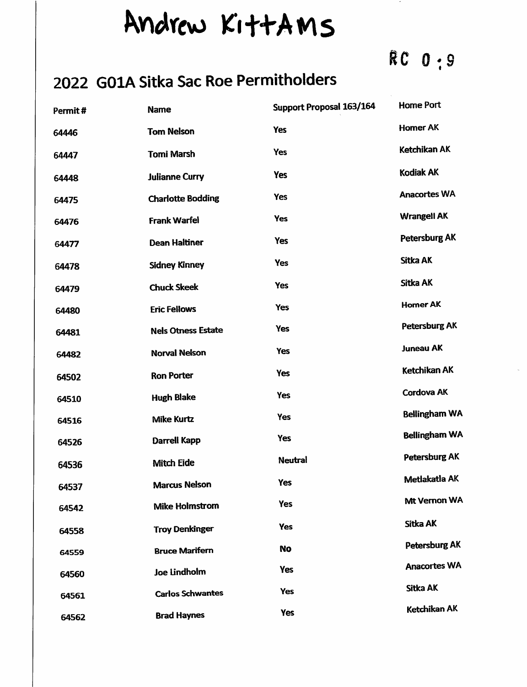## Andrew KittAMS

## RC 0:9

## 2022 GOIA Sitka Sac Roe Permitholders

| Permit# | <b>Name</b>               | <b>Support Proposal 163/164</b> | <b>Home Port</b>     |
|---------|---------------------------|---------------------------------|----------------------|
| 64446   | <b>Tom Nelson</b>         | <b>Yes</b>                      | <b>Homer AK</b>      |
| 64447   | <b>Tomi Marsh</b>         | Yes                             | Ketchikan AK         |
| 64448   | <b>Julianne Curry</b>     | <b>Yes</b>                      | Kodiak AK            |
| 64475   | <b>Charlotte Bodding</b>  | <b>Yes</b>                      | <b>Anacortes WA</b>  |
| 64476   | <b>Frank Warfel</b>       | Yes                             | <b>Wrangell AK</b>   |
| 64477   | <b>Dean Haltiner</b>      | Yes                             | <b>Petersburg AK</b> |
| 64478   | <b>Sidney Kinney</b>      | Yes                             | Sitka AK             |
| 64479   | <b>Chuck Skeek</b>        | <b>Yes</b>                      | <b>Sitka AK</b>      |
| 64480   | <b>Eric Fellows</b>       | <b>Yes</b>                      | <b>Homer AK</b>      |
| 64481   | <b>Nels Otness Estate</b> | <b>Yes</b>                      | <b>Petersburg AK</b> |
| 64482   | <b>Norval Nelson</b>      | Yes                             | <b>Juneau AK</b>     |
| 64502   | <b>Ron Porter</b>         | Yes                             | Ketchikan AK         |
| 64510   | <b>Hugh Blake</b>         | <b>Yes</b>                      | Cordova AK           |
| 64516   | <b>Mike Kurtz</b>         | Yes                             | <b>Bellingham WA</b> |
| 64526   | <b>Darrell Kapp</b>       | <b>Yes</b>                      | <b>Bellingham WA</b> |
| 64536   | <b>Mitch Eide</b>         | <b>Neutral</b>                  | Petersburg AK        |
| 64537   | <b>Marcus Nelson</b>      | <b>Yes</b>                      | Metlakatla AK        |
| 64542   | <b>Mike Holmstrom</b>     | Yes                             | Mt Vernon WA         |
| 64558   | <b>Troy Denkinger</b>     | <b>Yes</b>                      | Sitka AK             |
| 64559   | <b>Bruce Marifern</b>     | <b>No</b>                       | Petersburg AK        |
| 64560   | Joe Lindholm              | Yes                             | <b>Anacortes WA</b>  |
| 64561   | <b>Carlos Schwantes</b>   | <b>Yes</b>                      | Sitka AK             |
| 64562   | <b>Brad Haynes</b>        | Yes                             | Ketchikan AK         |